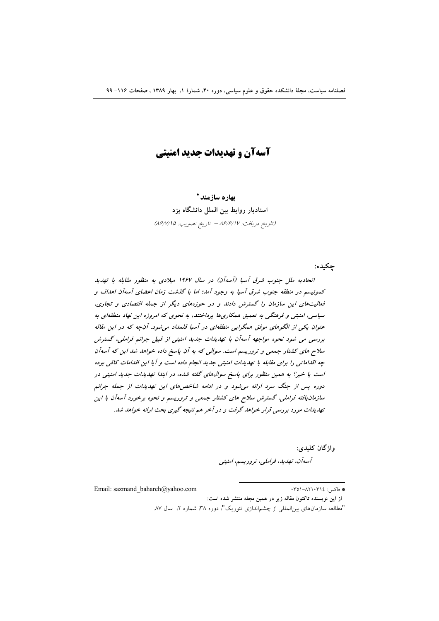# آسهآن و تهدیدات جدید امنیتی

بهاره سازمند \* استادیار روابط بین الملل دانشگاه یزد (تاريخ دريافت: ٨۶/۶/١٧ - تاريخ تصويب: ٨۶/٧/١٥)

چکیده:

اتحادیه ملل جنوب شرق آسیا (آسهآن) در سال ۱۹۶۷ میلادی به منظور مقابله با تهدید كمونيسم در منطقه جنوب شرق آسيا به وجود آمد؛ اما با گذشت زمان اعضاى آسهآن اهداف و فعالیتهای این سازمان را گسترش دادند و در حوزههای دیگر از جمله اقتصادی و تجاری، سیاسی، امنیتی و فرهنگی به تعمیق همکاریها پرداختند، به نحوی که امروزه این نهاد منطقهای به عنوان یکی از الگوهای موفق همگرایی منطقهای در آسیا قلمداد می شود. آنچه که در این مقاله بررسی می شود نحوه مواجهه آسهآن با تهدیدات جدید امنیتی از قبیل جرائم فراملی، گسترش سلاح های کشتار جمعی و تروریسم است. سوالی که به آن پاسخ داده خواهد شد این که آسهآن چه اقداماتی را برای مقابله با تهدیدات امنیتی جدید انجام داده است و آیا این اقدامات کافی بوده است یا خیر؟ به همین منظور برای پاسخ سوالهای گفته شده، در ابتدا تهدیدات جدید امنیتی در دوره پس از جنگ سرد ارائه می شود و در ادامه شاخص های این تهدیدات از جمله جرائم سازمان یافته فراملی، گسترش سلاح های کشتار جمعی و تروریسم و نحوه برخورد آسهآن با این تهدیدات مورد بررسی قرار خواهد گرفت و در آخر هم نتیجه گیری بحث ارائه خواهد شد.

واژگان کليدي:

آسەآن، تھاپان، فراملی، تروریسم، امنیتی

Email: sazmand bahareh@vahoo.com

# فاكتبر : ١٣٥٤-٥١-٥١٩

از این نویسنده تاکنون مقاله زیر در همین مجله منتشر شده است:

<sup>&</sup>quot;مطالعه سازمانهای بینالمللی از چشماندازی تئوریک"، دوره ۳۸، شماره ۲، سال ۸۷.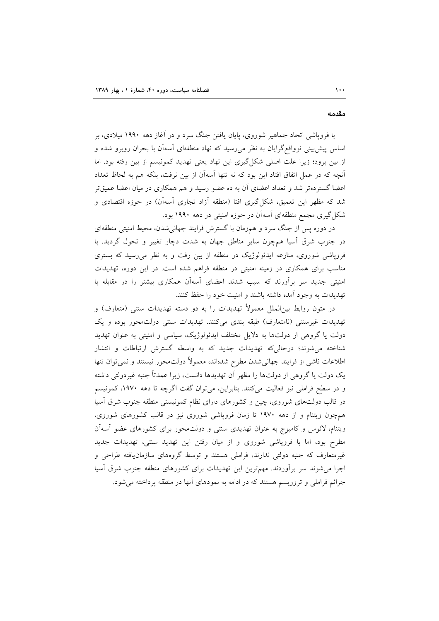مقدمه

با فروپاشی اتحاد جماهیر شوروی، پایان یافتن جنگ سرد و در آغاز دهه ۱۹۹۰ میلادی، بر اساس پیش بینی نوواقع گرایان به نظر میرسید که نهاد منطقهای آسهآن با بحران روبرو شده و از بین برود؛ زیرا علت اصلی شکل گیری این نهاد یعنی تهدید کمونیسم از بین رفته بود. اما آنچه که در عمل اتفاق افتاد این بود که نه تنها آسهآن از بین نرفت، بلکه هم به لحاظ تعداد اعضا گستردهتر شد و تعداد اعضای آن به ده عضو رسید و هم همکاری در میان اعضا عمیقتر شد که مظهر این تعمیق، شکل گیری افتا (منطقه آزاد تجاری آسهآن) در حوزه اقتصادی و شکل گیری مجمع منطقهای آسهآن در حوزه امنیتی در دهه ۱۹۹۰ بود.

در دوره پس از جنگ سرد و همزمان با گسترش فرایند جهانی شدن، محیط امنیتی منطقهای در جنوب شرق آسیا همچون سایر مناطق جهان به شدت دچار تغییر و تحول گردید. با فروپاشی شوروی، منازعه ایدئولوژیک در منطقه از بین رفت و به نظر می رسید که بستری مناسب برای همکاری در زمینه امنیتی در منطقه فراهم شده است. در این دوره، تهدیدات امنیتی جدید سر برآورند که سبب شدند اعضای آسهآن همکاری بیشتر را در مقابله با تهديدات به وجود آمده داشته باشند و امنيت خود را حفظ كنند.

در متون روابط بین|لملل معمولاً تهدیدات را به دو دسته تهدیدات سنتی (متعارف) و تهدیدات غیرسنتی (نامتعارف) طبقه بندی میکنند. تهدیدات سنتی دولتمحور بوده و یک دولت یا گروهی از دولتها به دلایل مختلف ایدئولوژیک، سیاسی و امنیتی به عنوان تهدید شناخته می شوند؛ درحالی که تهدیدات جدید که به واسطه گسترش ارتباطات و انتشار اطلاعات ناشی از فرایند جهانی شدن مطرح شدهاند، معمولاً دولتمحور نیستند و نمی توان تنها یک دولت یا گروهی از دولتها را مظهر آن تهدیدها دانست، زیرا عمدتاً جنبه غیردولتی داشته و در سطح فراملی نیز فعالیت میکنند. بنابراین، میتوان گفت اگرچه تا دهه ۱۹۷۰، کمونیسم در قالب دولتهای شوروی، چین و کشورهای دارای نظام کمونیستی منطقه جنوب شرق آسیا همچون ویتنام و از دهه ۱۹۷۰ تا زمان فروپاشی شوروی نیز در قالب کشورهای شوروی، ویتنام، لائوس و کامبوج به عنوان تهدیدی سنتی و دولتمحور برای کشورهای عضو أسهأن مطرح بود، اما با فروپاشی شوروی و از میان رفتن این تهدید سنتی، تهدیدات جدید غیرمتعارف که جنبه دولتی ندارند، فراملی هستند و توسط گروههای سازمان یافته طراحی و اجرا می شوند سر برآوردند. مهمترین این تهدیدات برای کشورهای منطقه جنوب شرق آسیا جرائم فراملی و تروریسم هستند که در ادامه به نمودهای آنها در منطقه پرداخته می شود.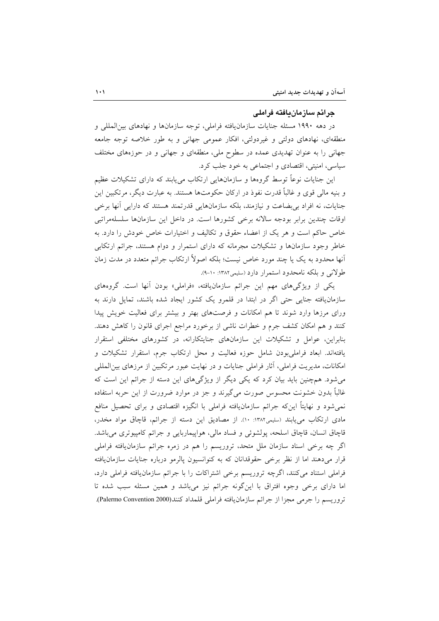#### جرائم سازمان بافته فراملي

در دهه ۱۹۹۰ مسئله جنایات سازمانیافته فراملی، توجه سازمانها و نهادهای بینالمللی و منطقهای، نهادهای دولتی و غیردولتی، افکار عمومی جهانی و به طور خلاصه توجه جامعه جهانی را به عنوان تهدیدی عمده در سطوح ملی، منطقهای و جهانی و در حوزههای مختلف سیاسی، امنیتی، اقتصادی و اجتماعی به خود جلب کرد.

این جنایات نوعاً توسط گروهها و سازمانهایی ارتکاب می یابند که دارای تشکیلات عظیم و بنیه مالی قوی و غالباً قدرت نفوذ در ارکان حکومتها هستند. به عبارت دیگر، مرتکبین این جنایات، نه افراد بی بضاعت و نیازمند، بلکه سازمانهایی قدرتمند هستند که دارایی آنها برخی اوقات چندین برابر بودجه سالانه برخی کشورها است. در داخل این سازمانها سلسلهمراتبی خاص حاکم است و هر یک از اعضاء حقوق و تکالیف و اختیارات خاص خودش را دارد. به خاطر وجود سازمانها و تشکیلات مجرمانه که دارای استمرار و دوام هستند، جرائم ارتکابی آنها محدود به یک یا چند مورد خاص نیست؛ بلکه اصولاً ارتکاب جرائم متعدد در مدت زمان طولاني و بلكه نامحدود استمرار دارد (سليمي١٣٨٢: ١٠-٩).

یکی از ویژگیهای مهم این جرائم سازمانیافته، «فراملی» بودن آنها است. گروههای سازمان یافته جنایی حتی اگر در ابتدا در قلمرو یک کشور ایجاد شده باشند، تمایل دارند به ورای مرزها وارد شوند تا هم امکانات و فرصتهای بهتر و بیشتر برای فعالیت خویش پیدا كنند و هم امكان كشف جرم و خطرات ناشى از برخورد مراجع اجراى قانون را كاهش دهند. بنابراین، عوامل و تشکیلات این سازمانهای جنایتکارانه، در کشورهای مختلفی استقرار یافتهاند. ابعاد فراملیبودن شامل حوزه فعالیت و محل ارتکاب جرم، استقرار تشکیلات و امکانات، مدیریت فراملی، آثار فراملی جنایات و در نهایت عبور مرتکبین از مرزهای بین المللی می شود. همچنین باید بیان کرد که یکی دیگر از ویژگیهای این دسته از جرائم این است که غالباً بدون خشونت محسوس صورت میگیرند و جز در موارد ضرورت از این حربه استفاده نمی شود و نهایتاً اینکه جرائم سازمانیافته فراملی با انگیزه اقتصادی و برای تحصیل منافع مادي ارتكاب مي يابند (سليمي١٣٨٢: ١٠). از مصاديق اين دسته از جرائم، قاچاق مواد مخدر، قاچاق انسان، قاچاق اسلحه، پولشوئی و فساد مالی، هواپیماربایی و جرائم کامپیوتری میباشد. اگر چه برخی اسناد سازمان ملل متحد، تروریسم را هم در زمره جرائم سازمان،یافته فراملی قرار می دهند اما از نظر برخی حقوقدانان که به کنوانسیون پالرمو درباره جنایات سازمان یافته فراملی استناد می کنند، اگرچه تروریسم برخی اشتراکات را با جرائم سازمان یافته فراملی دارد، اما دارای برخی وجوه افتراق با اینگونه جرائم نیز میباشد و همین مسئله سبب شده تا تروريسم را جرمي مجزا از جرائم سازمان يافته فراملي قلمداد كنند(Palermo Convention 2000).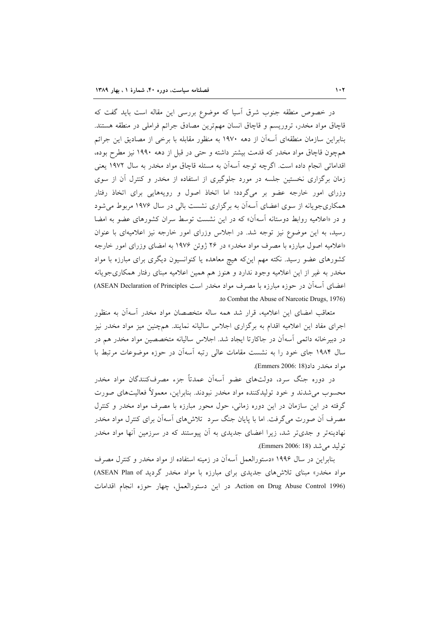در خصوص منطقه جنوب شرق آسیا که موضوع بررسی این مقاله است باید گفت که قاچاق مواد مخدر، تروریسم و قاچاق انسان مهمترین مصادق جرائم فراملی در منطقه هستند. بنابراین سازمان منطقهای آسهآن از دهه ۱۹۷۰ به منظور مقابله با برخی از مصادیق این جرائم همچون قاچاق مواد مخدر که قدمت بیشتر داشته و حتبی در قبل از دهه ۱۹۹۰ نیز مطرح بوده، اقداماتی انجام داده است. اگرچه توجه آسهآن به مسئله قاچاق مواد مخدر به سال ۱۹۷۲ یعنی زمان برگزاری نخستین جلسه در مورد جلوگیری از استفاده از مخدر و کنترل آن از سوی وزرای امور خارجه عضو بر میگردد؛ اما اتخاذ اصول و رویههایی برای اتخاذ رفتار همکاریجویانه از سوی اعضای آسهآن به برگزاری نشست بالی در سال ۱۹۷۶ مربوط می شود و در «اعلامیه روابط دوستانه آسهآن» که در این نشست توسط سران کشورهای عضو به امضا رسید، به این موضوع نیز توجه شد. در اجلاس وزرای امور خارجه نیز اعلامیهای با عنوان «اعلامیه اصول مبارزه با مصرف مواد مخدر» در ۲۶ ژوئن ۱۹۷۶ به امضای وزرای امور خارجه کشورهای عضو رسید. نکته مهم اینکه هیچ معاهده یا کنوانسیون دیگری برای مبارزه با مواد مخدر به غیر از این اعلامیه وجود ندارد و هنوز هم همین اعلامیه مبنای رفتار همکاریجویانه اعضای آسهآن در حوزه مبارزه با مصرف مواد مخدر است ASEAN Declaration of Principles) to Combat the Abuse of Narcotic Drugs, 1976).

متعاقب امضای این اعلامیه، قرار شد همه ساله متخصصان مواد مخدر آسهآن به منظور اجرای مفاد این اعلامیه اقدام به برگزاری اجلاس سالیانه نمایند. همچنین میز مواد مخدر نیز در دبیرخانه دائمی آسهآن در جاکارتا ایجاد شد. اجلاس سالیانه متخصصین مواد مخدر هم در سال ۱۹۸۴ جای خود را به نشست مقامات عالی رتبه آسهآن در حوزه موضوعات مرتبط با مواد مخدر داد(Emmers 2006: 18).

در دوره جنگ سرد، دولتهای عضو آسهآن عمدتاً جزء مصرفکنندگان مواد مخدر محسوب می شدند و خود تولیدکننده مواد مخدر نبودند. بنابراین، معمولاً فعالیتهای صورت گرفته در این سازمان در این دوره زمانی، حول محور مبارزه با مصرف مواد مخدر و کنترل مصرف آن صورت میگرفت. اما با پایان جنگ سرد تلاش۵های آسهآن برای کنترل مواد مخدر نهادینهتر و جدیتر شد، زیرا اعضای جدیدی به آن پیوستند که در سرزمین آنها مواد مخدر توليد مي شد (Emmers 2006: 18).

بنابراین در سال ۱۹۹۶ «دستورالعمل آسهآن در زمینه استفاده از مواد مخدر و کنترل مصرف مواد مخدر» مبنای تلاشهای جدیدی برای مبارزه با مواد مخدر گردید ASEAN Plan of) Action on Drug Abuse Control 1996). در اين دستورالعمل، چهار حوزه انجام اقدامات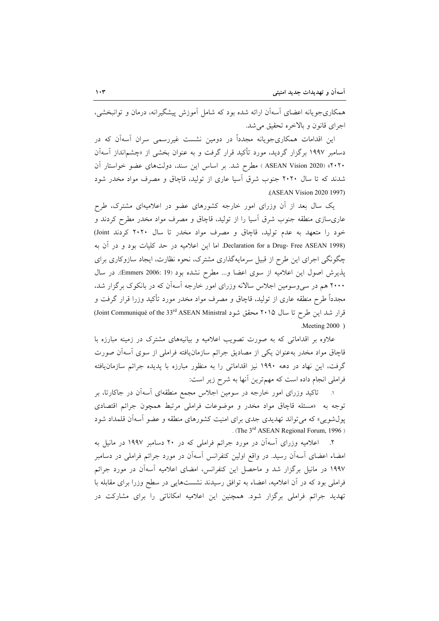همکاریجویانه اعضای آسهآن ارائه شده بود که شامل آموزش پیشگیرانه، درمان و توانبخشی، اجراي قانون و بالاخره تحقيق مي شد.

این اقدامات همکاریجویانه مجدداً در دومین نشست غیررسمی سران آسهآن که در دسامبر ۱۹۹۷ برگزار گردید، مورد تأکید قرار گرفت و به عنوان بخشی از «چشم|نداز آسهآن ۴۰۲۰» (ASEAN Vision 2020) مطرح شد. بر اساس این سند، دولتهای عضو خواستار آن شدند که تا سال ۲۰۲۰ جنوب شرق آسیا عاری از تولید، قاچاق و مصرف مواد مخدر شود (ASEAN Vision 2020 1997).

یک سال بعد از آن وزرای امور خارجه کشورهای عضو در اعلامیهای مشترک، طرح عاریٍسازی منطقه جنوب شرق اسیا را از تولید، قاچاق و مصرف مواد مخدر مطرح کردند و خود را متعهد به عدم تولید، قاچاق و مصرف مواد مخدر تا سال ۲۰۲۰ کردند Joint) Declaration for a Drug- Free ASEAN 1998). اما این اعلامیه در حد کلیات بود و در آن به چگونگی اجرای این طرح از قبیل سرمایهگذاری مشترک، نحوه نظارت، ایجاد سازوکاری برای پذیرش اصول این اعلامیه از سوی اعضا و... مطرح نشده بود (Emmers 2006: 19). در سال ۲۰۰۰ هم در سپیوسومین اجلاس سالانه وزرای امور خارجه آسهآن که در بانکوک برگزار شد، مجدداً طرح منطقه عاری از تولید، قاچاق و مصرف مواد مخدر مورد تأکید وزرا قرار گرفت و قرار شد این طرح تا سال ۲۰۱۵ محقق شود Joint Communiqué of the 33rd ASEAN Ministral  $M$ eeting 2000)

علاوه بر اقداماتی که به صورت تصویب اعلامیه و بیانیههای مشترک در زمینه مبارزه با قاچاق مواد مخدر بهعنوان يكي از مصاديق جرائم سازمان،يافته فراملي از سوى آسهآن صورت گرفت، این نهاد در دهه ۱۹۹۰ نیز اقداماتی را به منظور مبارزه با پدیده جرائم سازمانیافته فراملی انجام داده است که مهمترین آنها به شرح زیر است:

تاکید وزرای امور خارجه در سومین اجلاس مجمع منطقهای آسهآن در جاکارتا، بر توجه به «مسئله قاچاق مواد مخدر و موضوعات فراملی مرتبط همچون جرائم اقتصادی پول شویی» که می تواند تهدیدی جدی برای امنیت کشورهای منطقه و عضو آسهآن قلمداد شود . (The 3<sup>rd</sup> ASEAN Regional Forum, 1996)

۲. اعلامیه وزرای آسهآن در مورد جرائم فراملی که در ۲۰ دسامبر ۱۹۹۷ در مانیل به امضاء اعضای آسهآن رسید. در واقع اولین کنفرانس آسهآن در مورد جرائم فراملی در دسامبر ۱۹۹۷ در مانیل برگزار شد و ماحصل این کنفرانس، امضای اعلامیه آسهآن در مورد جرائم فراملی بود که در آن اعلامیه، اعضاء به توافق رسیدند نشستهایی در سطح وزرا برای مقابله با تهدید جرائم فراملی برگزار شود. همچنین این اعلامیه امکاناتی را برای مشارکت در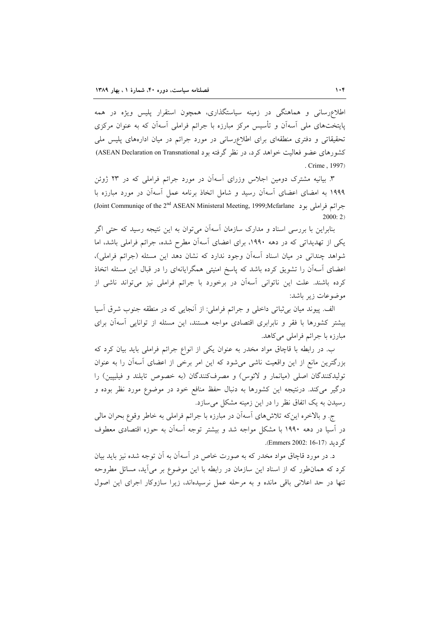اطلاعرسانی و هماهنگی در زمینه سیاستگذاری، همچون استقرار پلیس ویژه در همه پایتختهای ملی آسهآن و تأسیس مرکز مبارزه با جرائم فراملی آسهآن که به عنوان مرکزی تحقیقاتی و دفتری منطقهای برای اطلاعرسانی در مورد جرائم در میان ادارههای پلیس ملی کشورهای عضو فعالیت خواهد کرد، در نظر گرفته بود ASEAN Declaration on Transnational) . Crime, 1997)

۳. بیانیه مشترک دومین اجلاس وزرای آسهآن در مورد جرائم فراملی که در ۲۳ ژوئن ۱۹۹۹ به امضای اعضای آسهآن رسید و شامل اتخاذ برنامه عمل آسهآن در مورد مبارزه با جرائم فراملي بود Joint Communiqe of the 2<sup>nd</sup> ASEAN Ministeral Meeting, 1999;Mcfarlane  $2000:2$ 

بنابراین با بررسی اسناد و مدارک سازمان آسهآن می توان به این نتیجه رسید که حتبی اگر یکی از تهدیداتی که در دهه ۱۹۹۰، برای اعضای آسهآن مطرح شده، جرائم فراملی باشد، اما شواهد چندانی در میان اسناد آسهآن وجود ندارد که نشان دهد این مسئله (جرائم فراملی)، اعضای آسهآن را تشویق کرده باشد که پاسخ امنیتی همگرایانهای را در قبال این مسئله اتخاذ کرده باشند. علت این ناتوانی آسهآن در برخورد با جرائم فراملی نیز میتواند ناشی از موضوعات زیر باشد:

الف. پیوند میان بی ثباتی داخلی و جرائم فراملی: از آنجایی که در منطقه جنوب شرق آسیا بیشتر کشورها با فقر و نابرابری اقتصادی مواجه هستند، این مسئله از توانایی آسهآن برای مبارزہ یا جرائم فراملی می کاهد.

ب. در رابطه با قاچاق مواد مخدر به عنوان یکی از انواع جرائم فراملی باید بیان کرد که بزرگترین مانع از این واقعیت ناشی می شود که این امر برخی از اعضای آسهآن را به عنوان تولیدکنندگان اصلی (میانمار و لائوس) و مصرفکنندگان (به خصوص تایلند و فیلیپین) را درگیر می کند. درنتیجه این کشورها به دنبال حفظ منافع خود در موضوع مورد نظر بوده و رسیدن به یک اتفاق نظر را در این زمینه مشکل می سازد.

ج. و بالاخره این که تلاش های آسهآن در مبارزه با جرائم فراملی به خاطر وقوع بحران مالی در آسیا در دهه ۱۹۹۰ با مشکل مواجه شد و بیشتر توجه آسهآن به حوزه اقتصادی معطوف گ دىلد (Emmers 2002: 16-17).

د. در مورد قاچاق مواد مخدر که به صورت خاص در آسهآن به آن توجه شده نیز باید بیان کرد که همانطور که از اسناد این سازمان در رابطه با این موضوع بر میآید، مسائل مطروحه تنها در حد اعلانی باقی مانده و به مرحله عمل نرسیدهاند، زیرا سازوکار اجرای این اصول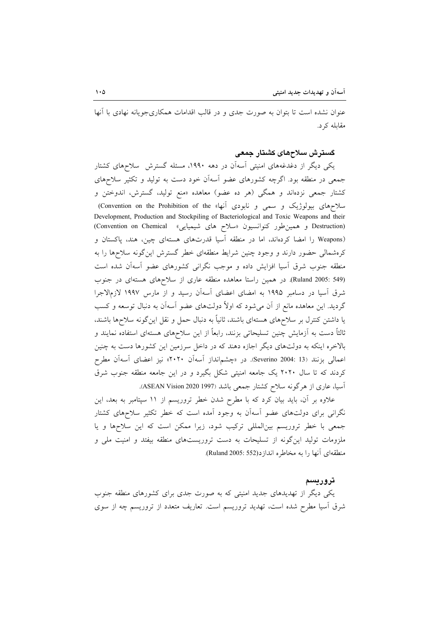عنوان نشده است تا بتوان به صورت جدی و در قالب اقدامات همکاریجویانه نهادی با آنها مقابله کړ د.

### گسترش سلاحهای کشتار جمعی

یکی دیگر از دغدغههای امنیتی آسهآن در دهه ۱۹۹۰، مسئله گسترش سلاحهای کشتار جمعی در منطقه بود. اگرچه کشورهای عضو آسهآن خود دست به تولید و تکثیر سلاحهای کشتار جمعی نزدهاند و همگی (هر ده عضو) معاهده «منع تولید، گسترش، اندوختن و سلاحهای بیولوژیک و سمی و نابودی آنها» Convention on the Prohibition of the) Development, Production and Stockpiling of Bacteriological and Toxic Weapons and their (Destruction و همین طور کنوانسیون «سلاح های شیمیایی» Convention on Chemical) (Weapons را امضا کردهاند، اما در منطقه آسیا قدرتهای هستهای چین، هند، پاکستان و کرهشمالی حضور دارند و وجود چنین شرایط منطقهای خطر گسترش اینگونه سلاحها را به منطقه جنوب شرق آسیا افزایش داده و موجب نگرانی کشورهای عضو آسهآن شده است (Ruland 2005: 549). در همین راستا معاهده منطقه عاری از سلاحهای هستهای در جنوب شرق آسیا در دسامبر ۱۹۹۵ به امضای اعضای آسهآن رسید و از مارس ۱۹۹۷ لازمالاجرا گردید. این معاهده مانع از آن میشود که اولاً دولتهای عضو آسهآن به دنبال توسعه و کسب یا داشتن کنترل بر سلاحهای هستهای باشند، ثانیاً به دنبال حمل و نقل این گونه سلاحها باشند. ثالثاً دست به آزمایش چنین تسلیحاتی بزنند، رابعاً از این سلاحهای هستهای استفاده نمایند و بالاخره اینکه به دولتهای دیگر اجازه دهند که در داخل سرزمین این کشورها دست به چنین اعمالی بزنند (Severino 2004: 13). در «چشم|نداز آسهآن ۲۰۲۰» نیز اعضای آسهآن مطرح کردند که تا سال ۲۰۲۰ یک جامعه امنیتی شکل بگیرد و در این جامعه منطقه جنوب شرق آسیا، عاری از هرگونه سلاح کشتار جمعی باشد (1997 ASEAN Vision 2020).

علاوه بر آن، باید بیان کرد که با مطرح شدن خطر تروریسم از ۱۱ سپتامبر به بعد، این نگرانی برای دولتهای عضو آسهآن به وجود آمده است که خطر تکثیر سلاحهای کشتار جمعی با خطر تروریسم بینالمللی ترکیب شود، زیرا ممکن است که این سلاحها و یا ملزومات تولید این گونه از تسلیحات به دست تروریستهای منطقه بیفتد و امنیت ملی و منطقهای آنها را به مخاطره اندازد(Ruland 2005: 552).

#### تر و ريسم

یکی دیگر از تهدیدهای جدید امنیتی که به صورت جدی برای کشورهای منطقه جنوب شرق آسیا مطرح شده است، تهدید تروریسم است. تعاریف متعدد از تروریسم چه از سوی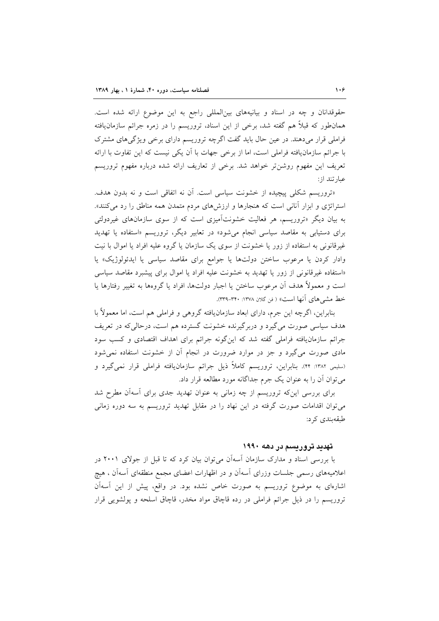حقوقدانان و چه در اسناد و بیانیههای بینالمللی راجع به این موضوع ارائه شده است. همان طور که قبلاً هم گفته شد، برخی از این اسناد، تروریسم را در زمره جرائم سازمان یافته فراملی قرار میدهند. در عین حال باید گفت اگرچه تروریسم دارای برخی ویژگیهای مشترک با جرائم سازمان یافته فراملی است، اما از برخی جهات با آن یکی نیست که این تفاوت با ارائه تعریف این مفهوم روشن تر خواهد شد. برخی از تعاریف ارائه شده درباره مفهوم تروریسم عبارتند از:

«تروریسم شکلی پیچیده از خشونت سیاسی است. آن نه اتفاقی است و نه بدون هدف. استراتژی و ابزار آنانی است که هنجارها و ارزش های مردم متمدن همه مناطق را رد می کنند». به بیان دیگر «تروریسم، هر فعالیت خشونتآمیزی است که از سوی سازمانهای غیردولتی برای دستیاب<sub>ی</sub> به مقاصد سیاسی انجام می شود» در تعابیر دیگر، تروریسم «استفاده یا تهدید غیر قانونی به استفاده از زور یا خشونت از سوی یک سازمان یا گروه علیه افراد یا اموال با نیت وادار کردن یا مرعوب ساختن دولتها یا جوامع برای مقاصد سیاسی یا ایدئولوژیک» یا «استفاده غیرقانونی از زور یا تهدید به خشونت علیه افراد یا اموال برای پیشبرد مقاصد سیاسی است و معمولاً هدف اَن مرعوب ساختن یا اجبار دولتها، افراد یا گروهها به تغییر رفتارها یا خط مشي هاي آنها است» ( فن گلان ١٣٧٨: ٣٣٠-٣٣٩).

بنابراین، اگرچه این جرم، دارای ابعاد سازمانیافته گروهی و فراملی هم است، اما معمولاً با هدف سیاسی صورت میگیرد و دربرگیرنده خشونت گسترده هم است، درحالیکه در تعریف جرائم سازمانیافته فراملی گفته شد که این گونه جرائم برای اهداف اقتصادی و کسب سود مادی صورت می گیرد و جز در موارد ضرورت در انجام آن از خشونت استفاده نمی شود (سلیمی ۱۳۸۲: ۴۴). بنابراین، تروریسم کاملاً ذیل جرائم سازمانیافته فراملی قرار نمیگیرد و می توان آن را به عنوان یک جرم جداگانه مورد مطالعه قرار داد.

برای بررسی اینکه تروریسم از چه زمانی به عنوان تهدید جدی برای آسهآن مطرح شد میتوان اقدامات صورت گرفته در این نهاد را در مقابل تهدید تروریسم به سه دوره زمانی طىقەيندى كى د:

#### تهدید تروریسم در دهه ۱۹۹۰

با بررسی اسناد و مدارک سازمان آسهآن می توان بیان کرد که تا قبل از جولای ۲۰۰۱ در اعلامیههای رسمی جلسات وزرای آسهآن و در اظهارات اعضای مجمع منطقهای آسهآن ، هیچ اشارهای به موضوع تروریسم به صورت خاص نشده بود. در واقع، پیش از این آسهآن تروریسم را در ذیل جرائم فراملی در رده قاچاق مواد مخدر، قاچاق اسلحه و پولشویی قرار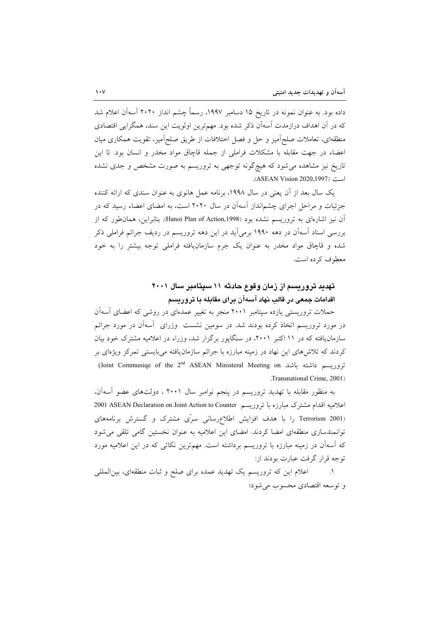داده بود. به عنوان نمونه در تاریخ ۱۵ دسامبر ۱۹۹۷، رسماً چشم انداز ۲۰۲۰ آسهآن اعلام شد که در آن اهداف درازمدت آسهآن ذکر شده بود. مهمترین اولویت این سند، همگرایی اقتصادی منطقهای، تعاملات صلح اَمیز و حل و فصل اختلافات از طریق صلح امیز، تقویت همکاری میان اعضاء در جهت مقابله با مشکلات فراملی از جمله قاچاق مواد مخدر و انسان بود. تا این تاریخ نیز مشاهده می شود که هیچگونه توجهی به تروریسم به صورت مشخص و جدی نشده است (ASEAN Vision 2020,1997).

یک سال بعد از آن یعنی در سال ۱۹۹۸، برنامه عمل هانوی به عنوان سندی که ارائه کننده جزئیات و مراحل اجرای چشمانداز آسهآن در سال ۲۰۲۰ است، به امضای اعضاء رسید که در آن نیز اشارهای به تروریسم نشده بود (Hanoi Plan of Action,1998). بنابراین، همان طور که از بررسی اسناد آسهآن در دهه ۱۹۹۰ برمیآید در این دهه تروریسم در ردیف جرائم فراملی ذکر شده و قاچاق مواد مخدر به عنوان یک جرم سازمانیافته فراملی توجه بیشتر را به خود معطوف کرده است.

## تهدید تروریسم از زمان وقوع حادثه ۱۱ سیتامبر سال ۲۰۰۱ اقدامات جمعی در قالب نهاد آسهآن برای مقابله با تروریسم

حملات تروریستی یازده سیتامبر ۲۰۰۱ منجر به تغییر عمدهای در روشی که اعضای آسهآن در مورد تروریسم اتخاذ کرده بودند شد. در سومین نشست ً وزرای آسهآن در مورد جرائم سازمان یافته که در ۱۱ اکتبر ۲۰۰۱، در سنگاپور برگزار شد، وزراء در اعلامیه مشترک خود بیان کردند که تلاشهای این نهاد در زمینه مبارزه با جرائم سازمان یافته می بایستی تمرکز ویژهای بر (Joint Communiqe of the 2<sup>nd</sup> ASEAN Ministeral Meeting on تووريسم داشته باشد Transnational Crime. 2001)

به منظور مقابله با تهدید تروریسم در پنجم نوامبر سال ۲۰۰۱ ، دولتهای عضو آسهآن، اعلامیه اقدام مشترک مبارزه با تروریسم 2001 ASEAN Declaration on Joint Action to Counter (Terrorism 2001 را با هدف افزایش اطلاع رسانی سرّی مشترک و گسترش برنامههای توانمندسازی منطقهای امضا کردند. امضای این اعلامیه به عنوان نخستین گامی تلقی می شود که آسهآن در زمینه مبارزه با تروریسم برداشته است. مهمترین نکاتی که در این اعلامیه مورد توجه قرار گرفت عبارت بودند از:

اعلام این که تروریسم یک تهدید عمده برای صلح و ثبات منطقهای، بین المللی  $\Lambda$ و توسعه اقتصادي محسوب مي شود؛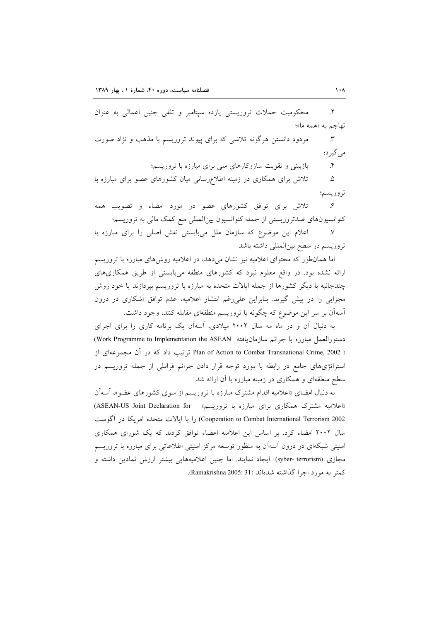محکومیت حملات تروریستی یازده سپتامبر و تلقی چنین اعمالی به عنوان  $\mathsf{Y}.$ تهاجم به «همه ما»؛ مردود دانستن هرگونه تلاشی که برای پیوند تروریسم با مذهب و نژاد صورت  $\mathcal{N}$ مے گیر د؛

> بازبینی و تقویت سازوکارهای ملی برای مبارزه با تروریسم؛  $\cdot$

تلاش برای همکاری در زمینه اطلاعرسانی میان کشورهای عضو برای مبارزه با  $\Delta$ تروريسم؛

تلاش برای توافق کشورهای عضو در مورد امضاء و تصویب همه  $\mathcal{S}$ کنوانسیونهای ضدتروریستی از جمله کنوانسیون بینالمللی منع کمک مالی به تروریسم؛

اعلام این موضوع که سازمان ملل میبایستی نقش اصلی را برای مبارزه با  $\mathcal{N}$ تروریسم در سطح بین المللی داشته باشد

اما همانطور که محتوای اعلامیه نیز نشان میدهد، در اعلامیه روشهای مبارزه با تروریسم ارائه نشده بود. در واقع معلوم نبود که کشورهای منطقه میبایستی از طریق همکاریهای چندجانبه با دیگر کشورها از جمله ایالات متحده به مبارزه با تروریسم بپردازند یا خود روش مجزایی را در پیش گیرند. بنابراین علیرغم انتشار اعلامیه، عدم توافق آشکاری در درون آسهآن بر سر این موضوع که چگونه با تروریسم منطقهای مقابله کنند، وجود داشت.

به دنبال آن و در ماه مه سال ۲۰۰۲ میلادی، آسهآن یک برنامه کاری را برای اجرای دستورالعمل مبارزه با جرائم سازمانيافته Work Programme to Implementation the ASEAN) Plan of Action to Combat Transnational Crime, 2002) ترتیب داد که در آن مجموعهای از استراتژیهای جامع در رابطه با مورد توجه قرار دادن جرائم فراملی از جمله تروریسم در سطح منطقهای و همکاری در زمینه مبارزه با آن ارائه شد.

به دنبال امضای «اعلامیه اقدام مشترک مبارزه با تروریسم از سوی کشورهای عضو»، آسهآن «اعلامیه مشترک همکاری برای مبارزه با تروریسم» - ASEAN-US Joint Declaration for) Cooperation to Combat International Terrorism 2002) را با ایالات متحده امریکا در آگوست سال ۲۰۰۲ امضاء کرد. بر اساس این اعلامیه اعضاء توافق کردند که یک شورای همکاری امنیتی شبکهای در درون آسهآن به منظور توسعه مرکز امنیتی اطلاعاتی برای مبارزه با تروریسم مجازی (syber- terrorism) ایجاد نمایند. اما چنین اعلامیههایی بیشتر ارزش نمادین داشته و كمتر به مورد اجرا گذاشته شدهاند (Ramakrishna 2005: 31).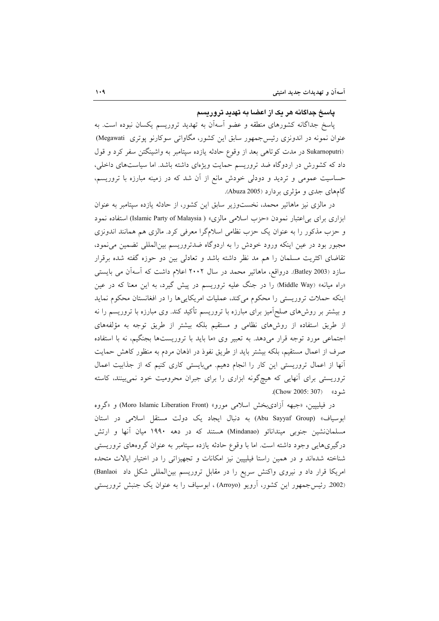#### پاسخ جداگانه هر یک از اعضا به تهدید تروریسم

پاسخ جداگانه کشورهای منطقه و عضو آسهآن به تهدید تروریسم یکسان نبوده است. به عنوان نمونه در اندونزی رئیسجمهور سابق این کشور، مگاواتی سوکارنو پوتری Megawati) (Sukarnoputri در مدت کوتاهی بعد از وقوع حادثه یازده سپتامبر به واشینگتن سفر کرد و قول داد که کشورش در اردوگاه ضد تروریسم حمایت ویژهای داشته باشد. اما سیاستهای داخلی، حساسیت عمومی و تردید و دودلی خودش مانع از آن شد که در زمینه مبارزه با تروریسم، گامهای جدی و مؤثری بر دارد (Abuza 2005).

در مالزی نیز ماهاتیر محمد، نخستوزیر سابق این کشور، از حادثه یازده سپتامبر به عنوان ابزاری برای بی اعتبار نمودن «حزب اسلامی مالزی» ( Islamic Party of Malaysia) استفاده نمود و حزب مذکور را به عنوان یک حزب نظامی اسلامگرا معرفی کرد. مالزی هم همانند اندونزی مجبور بود در عین اینکه ورود خودش را به اردوگاه ضدتروریسم بینالمللی تضمین می نمود، تقاضای اکثریت مسلمان را هم مد نظر داشته باشد و تعادلی بین دو حوزه گفته شده برقرار سازد (Batley 2003). درواقع، ماهاتیر محمد در سال ۲۰۰۲ اعلام داشت که آسهآن می بایستی «راه میانه» (Middle Way) را در جنگ علیه تروریسم در پیش گیرد، به این معنا که در عین اینکه حملات تروریستی را محکوم میکند، عملیات امریکاییها را در افغانستان محکوم نماید و بیشتر بر روش۵ای صلحآمیز برای مبارزه با تروریسم تأکید کند. وی مبارزه با تروریسم را نه از طریق استفاده از روشهای نظامی و مستقیم بلکه بیشتر از طریق توجه به مؤلفههای اجتماعی مورد توجه قرار میدهد. به تعبیر وی «ما باید با تروریستها بجنگیم، نه با استفاده صرف از اعمال مستقیم، بلکه بیشتر باید از طریق نفوذ در اذهان مردم به منظور کاهش حمایت أنها از اعمال تروریستی این کار را انجام دهیم. میبایستی کاری کنیم که از جذابیت اعمال تروریستی برای آنهایی که هیچگونه ابزاری را برای جبران محرومیت خود نمیبینند، کاسته شود» (Chow 2005: 307).

در فيليپين، «جبهه أزاديبخش اسلامي مورو» (Moro Islamic Liberation Front) و «گروه ابوسیاف» (Abu Sayyaf Group) به دنبال ایجاد یک دولت مستقل اسلامی در استان مسلماننشین جنوبی میندانائو (Mindanao) هستند که در دهه ۱۹۹۰ میان آنها و ارتش درگیریهایی وجود داشته است. اما با وقوع حادثه یازده سپتامبر به عنوان گروههای تروریستی شناخته شدهاند و در همین راستا فیلیپین نیز امکانات و تجهیزاتی را در اختیار ایالات متحده امریکا قرار داد و نیروی واکنش سریع را در مقابل تروریسم بین المللی شکل داد Banlaoi) (2002 رئیس جمهور این کشور، اَرویو (Arroyo) ، ابوسیاف را به عنوان یک جنبش تروریستی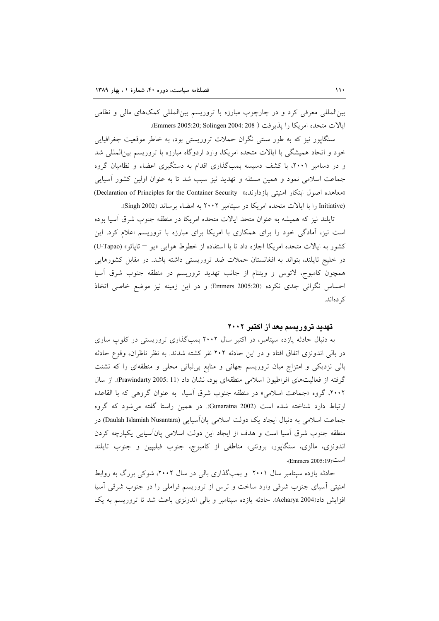بینالمللی معرفی کرد و در چارچوب مبارزه با تروریسم بینالمللی کمکهای مالی و نظامی ابالات متحده امريكا را بذيرفت ( Emmers 2005:20; Solingen 2004: 208).

سنگاپور نیز که به طور سنتی نگران حملات تروریستی بود، به خاطر موقعیت جغرافیایی خود و اتحاد همیشگی با ایالات متحده امریکا، وارد اردوگاه مبارزه با تروریسم بین المللی شد و در دسامبر ۲۰۰۱، با کشف دسیسه بمبگذاری اقدام به دستگیری اعضاء و نظامیان گروه جماعت اسلامی نمود و همین مسئله و تهدید نیز سبب شد تا به عنوان اولین کشور أسیایی «معاهده اصول ابتكار امنيتي بازدارنده» Declaration of Principles for the Container Security) (Initiative را با ایالات متحده امریکا در سپتامبر ۲۰۰۲ به امضاء برساند (Singh 2002).

تایلند نیز که همیشه به عنوان متحد ایالات متحده امریکا در منطقه جنوب شرق آسیا بوده است نیز، آمادگی خود را برای همکاری با امریکا برای مبارزه با تروریسم اعلام کرد. این كشور به ايالات متحده امريكا اجازه داد تا با استفاده از خطوط هوايي «يو — تايائو» (U-Tapao) در خلیج تایلند، بتواند به افغانستان حملات ضد تروریستی داشته باشد. در مقابل کشورهایی همچون کامبوج، لائوس و ویتنام از جانب تهدید تروریسم در منطقه جنوب شرق آسیا احساس نگرانی جدی نکرده (Emmers 2005:20) و در این زمینه نیز موضع خاصی اتخاذ کر دەاند.

#### تهدید تروریسم بعد از اکتبر ۲۰۰۲

به دنبال حادثه یازده سپتامبر، در اکتبر سال ۲۰۰۲ بمبگذاری تروریستی در کلوپ ساری در بالی اندونزی اتفاق افتاد و در این حادثه ۲۰۲ نفر کشته شدند. به نظر ناظران، وقوع حادثه بالی نزدیکی و امتزاج میان تروریسم جهانی و منابع بی¢باتی محلی و منطقهای را که نشئت گرفته از فعالیتهای افراطیون اسلامی منطقهای بود، نشان داد (11 :2005 Prawindarty). از سال ۲۰۰۲، گروه «جماعت اسلامی» در منطقه جنوب شرق آسیا، به عنوان گروهی که با القاعده ارتباط دارد شناخته شده است (Gunaratna 2002). در همین راستا گفته می شود که گروه جماعت اسلامی به دنبال ایجاد یک دولت اسلامی پانآسیایی (Daulah Islamiah Nusantara) در منطقه جنوب شرق آسیا است و هدف از ایجاد این دولت اسلامی پانآسیایی یکپارچه کردن اندونزي، مالزي، سنگاپور، برونئي، مناطقي از كامبوج، جنوب فيليپين و جنوب تايلند است(Emmers 2005:19).

حادثه یازده سیتامبر سال ۲۰۰۱ و بمبگذاری بالی در سال ۲۰۰۲، شوکی بزرگ به روابط امنیتی أسیای جنوب شرقی وارد ساخت و ترس از تروریسم فراملی را در جنوب شرقی أسیا افزایش داد(Acharya 2004). حادثه یازده سیتامبر و بالی اندونزی باعث شد تا تروریسم به یک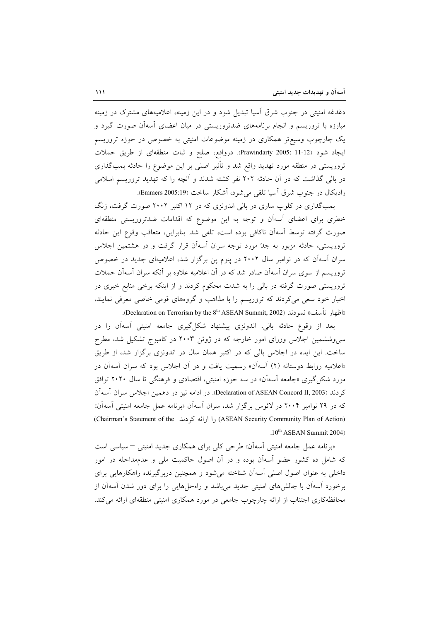دغدغه امنیتی در جنوب شرق اسیا تبدیل شود و در این زمینه، اعلامیههای مشترک در زمینه مبارزه با تروریسم و انجام برنامههای ضدتروریستی در میان اعضای آسهآن صورت گیرد و یک چارچوب وسیع تر همکاری در زمینه موضوعات امنیتی به خصوص در حوزه تروریسم ايجاد شود (Prawindarty 2005: 11-12). درواقع، صلح و ثبات منطقهاى از طريق حملات تروریستی در منطقه مورد تهدید واقع شد و تأثیر اصلی بر این موضوع را حادثه بمبگذاری در بالی گذاشت که در آن حادثه ۲۰۲ نفر کشته شدند و آنچه را که تهدید تروریسم اسلامی راديكال در جنوب شرق آسيا تلقى مى شود، آشكار ساخت (Emmers 2005:19).

بمبگذاری در کلوپ ساری در بالی اندونزی که در ۱۲ اکتبر ۲۰۰۲ صورت گرفت، زنگ خطری برای اعضای آسهآن و توجه به این موضوع که اقدامات ضدتروریستی منطقهای صورت گرفته توسط آسهآن ناكافي بوده است، تلقى شد. بنابراين، متعاقب وقوع اين حادثه تروریستی، حادثه مزبور به جدّ مورد توجه سران آسهآن قرار گرفت و در هشتمین اجلاس سران آسهآن که در نوامبر سال ۲۰۰۲ در پنوم پن برگزار شد، اعلامیهای جدید در خصوص تروریسم از سوی سران اسهآن صادر شد که در آن اعلامیه علاوه بر آنکه سران اسهآن حملات تروریستی صورت گرفته در بالی را به شدت محکوم کردند و از اینکه برخی منابع خبری در اخبار خود سعی میکردند که تروریسم را با مذاهب و گروههای قومی خاصی معرفی نمایند، «اظهار تأسف» نمودند (Declaration on Terrorism by the 8<sup>th</sup> ASEAN Summit, 2002).

بعد از وقوع حادثه بالي، اندونزي پيشنهاد شكلٍگيري جامعه امنيتي أسهأن را در سی وششمین اجلاس وزرای امور خارجه که در ژوئن ۲۰۰۳ در کامبوج تشکیل شد، مطرح ساخت. این ایده در اجلاس بالی که در اکتبر همان سال در اندونزی برگزار شد، از طریق «اعلامیه روابط دوستانه (۲) آسهآن» رسمیت یافت و در آن اجلاس بود که سران آسهآن در مورد شکل گیری «جامعه آسهآن» در سه حوزه امنیتی، اقتصادی و فرهنگی تا سال ۲۰۲۰ توافق كردند (Declaration of ASEAN Concord II, 2003). در ادامه نيز در دهمين اجلاس سران آسهآن که در ۲۹ نوامبر ۲۰۰۴ در لائوس برگزار شد، سران آسهآن «برنامه عمل جامعه امنیتی آسهآن» (Chairman's Statement of the را ارائه کردند) (ASEAN Security Community Plan of Action) .10<sup>th</sup> ASEAN Summit 2004)

«برنامه عمل جامعه امنیتی آسهآن» طرحی کلی برای همکاری جدید امنیتی <sup>—</sup> سیاسی است که شامل ده کشور عضو آسهآن بوده و در آن اصول حاکمیت ملی و عدمهداخله در امور داخلی به عنوان اصول اصلی آسهآن شناخته می شود و همچنین دربرگیرنده راهکارهایی برای برخورد اسهآن با چالشهای امنیتی جدید می باشد و راهحل هایی را برای دور شدن اسهآن از محافظهکاری اجتناب از ارائه چارچوب جامعی در مورد همکاری امنیتی منطقهای ارائه می کند.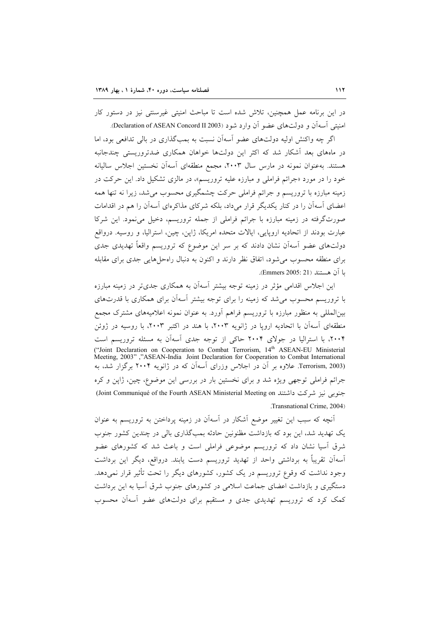در این برنامه عمل همچنین، تلاش شده است تا مباحث امنیتی غیرسنتی نیز در دستور کار امنیتی آسهآن و دولتهای عضو آن وارد شود (Declaration of ASEAN Concord II 2003).

اگر چه واکنش اولیه دولتهای عضو آسهآن نسبت به بمبگذاری در بالی تدافعی بود، اما در ماههای بعد آشکار شد که اکثر این دولتها خواهان همکاری ضدتروریستی چندجانبه هستند. بهعنوان نمونه در مارس سال ۲۰۰۳، مجمع منطقهای آسهآن نخستین اجلاس سالیانه خود را در مورد «جرائم فراملی و مبارزه علیه تروریسم»، در مالزی تشکیل داد. این حرکت در زمینه مبارزه با تروریسم و جرائم فراملی حرکت چشمگیری محسوب می شد، زیرا نه تنها همه اعضای آسهآن را در کنار یکدیگر قرار می داد، بلکه شرکای مذاکرهای آسهآن را هم در اقدامات صورتگرفته در زمینه مبارزه با جرائم فراملی از جمله تروریسم، دخیل می نمود. این شرکا عبارت بودند از اتحادیه اروپایی، ایالات متحده امریکا، ژاپن، چین، استرالیا، و روسیه. درواقع دولتهای عضو اّسهاّن نشان دادند که بر سر این موضوع که تروریسم واقعاً تهدیدی جدی برای منطقه محسوب می شود، اتفاق نظر دارند و اکنون به دنبال راهحلهایی جدی برای مقابله يا آن هستند (Emmers 2005: 21).

این اجلاس اقدامی مؤثر در زمینه توجه بیشتر آسهآن به همکاری جدیتر در زمینه مبارزه با تروریسم محسوب می شد که زمینه را برای توجه بیشتر آسهآن برای همکاری با قدرتهای بین|لمللی به منظور مبارزه با تروریسم فراهم آورد. به عنوان نمونه اعلامیههای مشترک مجمع منطقهای آسهآن با اتحادیه اروپا در ژانویه ۲۰۰۳، با هند در اکتبر ۲۰۰۳، با روسیه در ژوئن ۲۰۰۴، با استرالیا در جولای ۲۰۰۴ حاکی از توجه جدی آسهآن به مسئله تروریسم است ("Joint Declaration on Cooperation to Combat Terrorism, 14<sup>th</sup> ASEAN-EU Ministerial Meeting, 2003","ASEAN-India Joint Declaration for Cooperation to Combat International Terrorism, 2003). علاوه بر أن در اجلاس وزراى أسهأن كه در ژانويه ۲۰۰۴ برگزار شد، به جرائم فراملی توجهی ویژه شد و برای نخستین بار در بررسی این موضوع، چین، ژاپن و کره جنوبی نیز شرکت داشتند Joint Communiqué of the Fourth ASEAN Ministerial Meeting on) .Transnational Crime, 2004)

آنچه که سبب این تغییر موضع أشکار در اسهان در زمینه پرداختن به تروریسم به عنوان یک تهدید شد، این بود که بازداشت مظنونین حادثه بمبگذاری بالی در چندین کشور جنوب شرق آسیا نشان داد که تروریسم موضوعی فراملی است و باعث شد که کشورهای عضو اَسهاَن تقریباً به برداشتی واحد از تهدید تروریسم دست یابند. درواقع، دیگر این برداشت وجود نداشت که وقوع تروریسم در یک کشور، کشورهای دیگر را تحت تأثیر قرار نمی دهد. دستگیری و بازداشت اعضای جماعت اسلامی در کشورهای جنوب شرق آسیا به این برداشت کمک کرد که تروریسم تهدیدی جدی و مستقیم برای دولتهای عضو آسهآن محسوب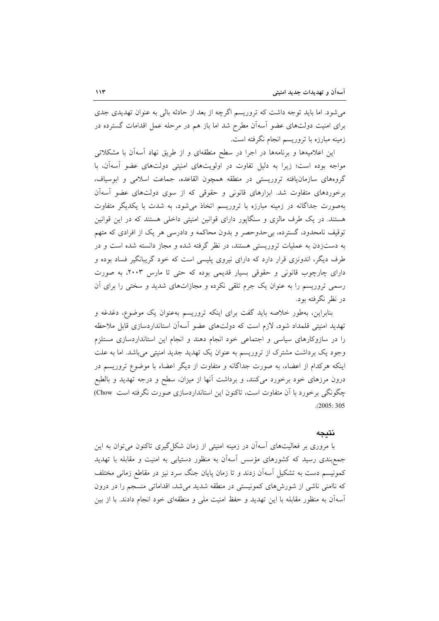می شود. اما باید توجه داشت که تروریسم اگرچه از بعد از حادثه بالی به عنوان تهدیدی جدی برای امنیت دولتهای عضو آسهآن مطرح شد اما باز هم در مرحله عمل اقدامات گسترده در زمینه مبارزه با تروریسم انجام نگرفته است.

این اعلامیهها و برنامهها در اجرا در سطح منطقهای و از طریق نهاد آسهآن با مشکلاتی مواجه بوده است؛ زیرا به دلیل تفاوت در اولویتهای امنیتی دولتهای عضو آسهآن، با گروههای سازمانیافته تروریستی در منطقه همچون القاعده، جماعت اسلامی و ابوسیاف، برخوردهای متفاوت شد. ابزارهای قانونی و حقوقی که از سوی دولتهای عضو آسهآن بهصورت جداگانه در زمینه مبارزه با تروریسم اتخاذ می شود، به شدت با یکدیگر متفاوت هستند. در یک طرف مالزی و سنگاپور دارای قوانین امنیتی داخلی هستند که در این قوانین توقیف نامحدود، گسترده، بی حدوحصر و بدون محاکمه و دادرسی هر یک از افرادی که متهم به دستزدن به عملیات تروریستی هستند، در نظر گرفته شده و مجاز دانسته شده است و در طرف دیگر، اندونزی قرار دارد که دارای نیروی پلیسی است که خود گریبانگیر فساد بوده و دارای چارچوب قانونی و حقوقی بسیار قدیمی بوده که حتی تا مارس ۲۰۰۳، به صورت رسمی تروریسم را به عنوان یک جرم تلقی نکرده و مجازاتهای شدید و سختی را برای آن در نظر نگرفته بود.

بنابراین، بهطور خلاصه باید گفت برای اینکه تروریسم بهعنوان یک موضوع، دغدغه و تهدید امنیتی قلمداد شود، لازم است که دولتهای عضو أسهأن استانداردسازی قابل ملاحظه را در سازوکارهای سیاسی و اجتماعی خود انجام دهند و انجام این استانداردسازی مستلزم وجود یک برداشت مشترک از تروریسم به عنوان یک تهدید جدید امنیتی می باشد. اما به علت اینکه هرکدام از اعضاء، به صورت جداگانه و متفاوت از دیگر اعضاء با موضوع تروریسم در درون مرزهای خود برخورد میکنند، و برداشت آنها از میزان، سطح و درجه تهدید و بالطبع چگونگی برخورد با آن متفاوت است، تاکنون این استانداردسازی صورت نگرفته است Chow)  $.2005:305$ 

#### نتىجە

با مروری بر فعالیتهای آسهآن در زمینه امنیتی از زمان شکل گیری تاکنون می توان به این جمع بندی رسید که کشورهای مؤسس آسهآن به منظور دستیابی به امنیت و مقابله با تهدید کمونیسم دست به تشکیل آسهآن زدند و تا زمان پایان جنگ سرد نیز در مقاطع زمانی مختلف که ناامنی ناشی از شورش۵ای کمونیستی در منطقه شدید میشد، اقداماتی منسجم را در درون آسهآن به منظور مقابله با این تهدید و حفظ امنیت ملی و منطقهای خود انجام دادند. با از بین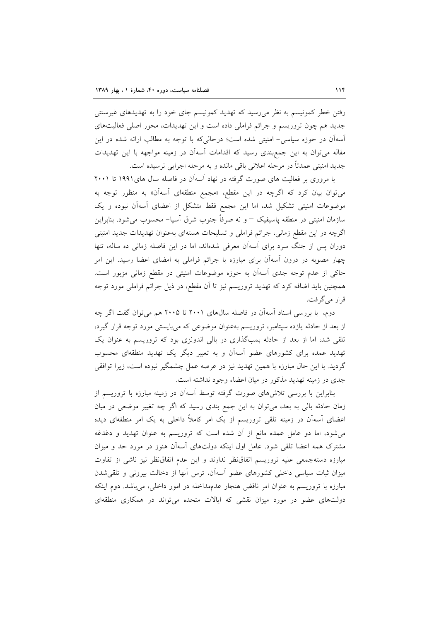رفتن خطر کمونیسم به نظر میرسید که تهدید کمونیسم جای خود را به تهدیدهای غیرسنتی جدید هم چون تروریسم و جرائم فراملی داده است و این تهدیدات، محور اصلی فعالیتهای آسهآن در حوزه سیاسی- امنیتی شده است؛ درحالیکه با توجه به مطالب ارائه شده در این مقاله میتوان به این جمع بندی رسید که اقدامات آسهآن در زمینه مواجهه با این تهدیدات جديد امنيتي عمدتاً در مرحله اعلاني باقي مانده و به مرحله اجرايي نرسيده است.

با مروری بر فعالیت های صورت گرفته در نهاد آسهآن در فاصله سال های۱۹۹۱ تا ۲۰۰۱ میتوان بیان کرد که اگرچه در این مقطع، «مجمع منطقهای آسهآن» به منظور توجه به موضوعات امنیتی تشکیل شد، اما این مجمع فقط متشکل از اعضای آسهآن نبوده و یک سازمان امنیتی در منطقه پاسیفیک – و نه صرفاً جنوب شرق آسیا– محسوب می شود. بنابراین اگرچه در این مقطع زمانی، جرائم فراملی و تسلیحات هستهای بهعنوان تهدیدات جدید امنیتی دوران پس از جنگ سرد برای آسهآن معرفی شدهاند، اما در این فاصله زمانی ده ساله، تنها چهار مصوبه در درون اّسهاّن برای مبارزه با جرائم فراملی به امضای اعضا رسید. این امر حاکی از عدم توجه جدی آسهآن به حوزه موضوعات امنیتی در مقطع زمانی مزبور است. همچنین باید اضافه کرد که تهدید تروریسم نیز تا آن مقطع، در ذیل جرائم فراملی مورد توجه قرار مي گرفت.

دوم، با بررسی اسناد اسهآن در فاصله سالهای ۲۰۰۱ تا ۲۰۰۵ هم میتوان گفت اگر چه از بعد از حادثه یازده سپتامبر، تروریسم بهعنوان موضوعی که میبایستی مورد توجه قرار گیرد، تلقی شد، اما از بعد از حادثه بمبگذاری در بالی اندونزی بود که تروریسم به عنوان یک تهدید عمده برای کشورهای عضو آسهآن و به تعبیر دیگر یک تهدید منطقهای محسوب گردید. با این حال مبارزه با همین تهدید نیز در عرصه عمل چشمگیر نبوده است، زیرا توافقی جدی در زمینه تهدید مذکور در میان اعضاء وجود نداشته است.

بنابراین با بررسی تلاشهای صورت گرفته توسط آسهآن در زمینه مبارزه با تروریسم از زمان حادثه بالی به بعد، می توان به این جمع بندی رسید که اگر چه تغییر موضعی در میان اعضای آسهآن در زمینه تلقی تروریسم از یک امر کاملاً داخلی به یک امر منطقهای دیده میشود، اما دو عامل عمده مانع از آن شده است که تروریسم به عنوان تهدید و دغدغه مشترک همه اعضا تلقی شود. عامل اول اینکه دولتهای آسهآن هنوز در مورد حد و میزان مبارزه دستهجمعی علیه تروریسم اتفاق نظر ندارند و این عدم اتفاق نظر نیز ناشی از تفاوت میزان ثبات سیاسی داخلی کشورهای عضو آسهآن، ترس آنها از دخالت بیرونی و تلقی شدن مبارزه با تروریسم به عنوان امر ناقض هنجار عدمهداخله در امور داخلی، میباشد. دوم اینکه دولتهای عضو در مورد میزان نقشی که ایالات متحده میتواند در همکاری منطقهای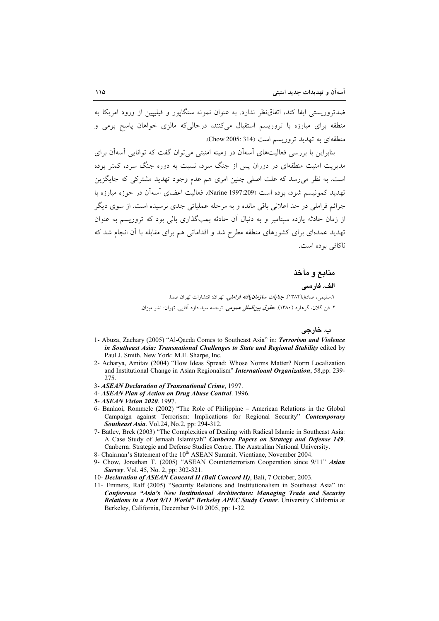ضدتروریستی ایفا کند، اتفاق ظر ندارد. به عنوان نمونه سنگایور و فیلیپین از ورود امریکا به منطقه برای مبارزه با تروریسم استقبال میکنند، درحالیکه مالزی خواهان پاسخ بومی و منطقهای به تهدید تروریسم است (Chow 2005: 314).

بنابراین با بررسی فعالیتهای آسهآن در زمینه امنیتی می توان گفت که توانایی آسهآن برای مدیریت امنیت منطقهای در دوران پس از جنگ سرد، نسبت به دوره جنگ سرد، کمتر بوده است. به نظر می رسد که علت اصلی چنین امری هم عدم وجود تهدید مشترکی که جایگزین تهدید کمونیسم شود، بوده است (Narine 1997:209). فعالیت اعضای آسهآن در جوزه مبارزه با جرائم فراملي در حد اعلاني باقي مانده و به مرحله عملياتي جدي نرسيده است. از سوي ديگر از زمان حادثه یازده سپتامبر و به دنبال آن حادثه بمبگذاری بالی بود که تروریسم به عنوان تهدید عمدهای برای کشورهای منطقه مطرح شد و اقداماتی هم برای مقابله با آن انجام شد که ناكافي بوده است.

> منابع و مآخذ الف. فارسى ۱.سليمه ، صادق(۱۳۸۲). **حن***امات سازمان مافته فراملير .* تھ ان: انتشارات تھ ان صدا. ۲. فن گلان، گرهارد (۱۳۸۰). ح*قوق بیز/لملل عمومی.* ترجمه سید داود آقایی. تهران: نشر میزان.

> > ب. خارجي

- 1- Abuza, Zachary (2005) "Al-Qaeda Comes to Southeast Asia" in: Terrorism and Violence in Southeast Asia: Transnational Challenges to State and Regional Stability edited by Paul J. Smith. New York: M.E. Sharpe, Inc.
- 2- Acharya, Amitav (2004) "How Ideas Spread: Whose Norms Matter? Norm Localization and Institutional Change in Asian Regionalism" *International Organization*, 58,pp: 239-275
- 3- ASEAN Declaration of Transnational Crime, 1997.
- 4- ASEAN Plan of Action on Drug Abuse Control. 1996.
- 5- ASEAN Vision 2020, 1997.
- 6- Banlaoi, Rommelc (2002) "The Role of Philippine American Relations in the Global Campaign against Terrorism: Implications for Regional Security" Contemporary Southeast Asia. Vol.24, No.2, pp: 294-312.
- 7- Batley, Brek (2003) "The Complexities of Dealing with Radical Islamic in Southeast Asia: A Case Study of Jemaah Islamiyah" Canberra Papers on Strategy and Defense 149. Canberra: Strategic and Defense Studies Centre. The Australian National University.
- 8- Chairman's Statement of the 10<sup>th</sup> ASEAN Summit. Vientiane, November 2004.
- 9- Chow, Jonathan T. (2005) "ASEAN Counterterrorism Cooperation since 9/11" Asian Survey. Vol. 45, No. 2, pp: 302-321.
- 10- Declaration of ASEAN Concord II (Bali Concord II), Bali, 7 October, 2003.
- 11- Emmers, Ralf (2005) "Security Relations and Institutionalism in Southeast Asia" in: Conference "Asia's New Institutional Architecture: Managing Trade and Security Relations in a Post 9/11 World" Berkeley APEC Study Center. University California at Berkeley, California, December 9-10 2005, pp: 1-32.